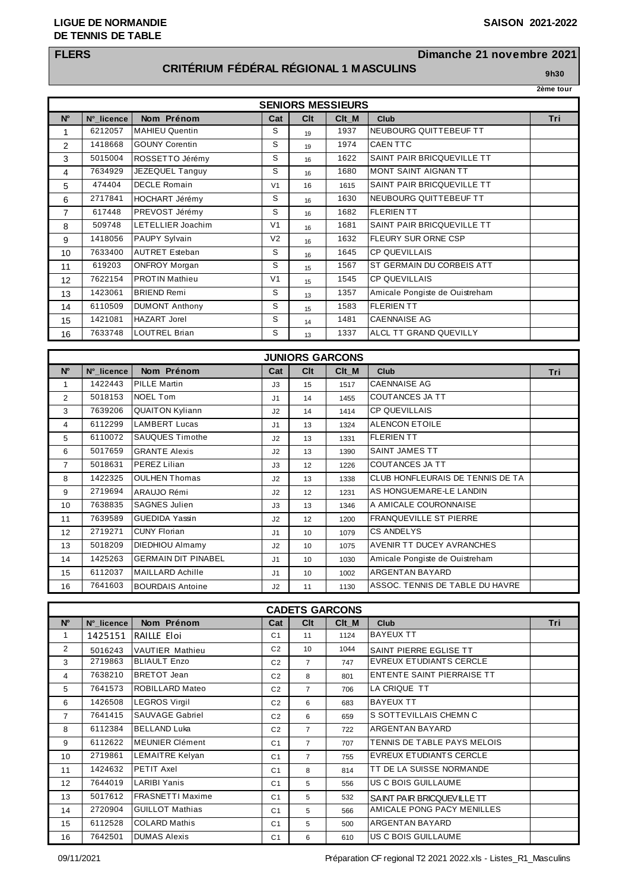## **LIGUE DE NORMANDIE SAISON 2021-2022 DE TENNIS DE TABLE**

### **FLERS Dimanche 21 novembre 2021**

# **CRITÉRIUM FÉDÉRAL RÉGIONAL 1 MASCULINS 9h30**

**2ème tour**

| <b>SENIORS MESSIEURS</b> |            |                       |                |                 |       |                                |     |  |
|--------------------------|------------|-----------------------|----------------|-----------------|-------|--------------------------------|-----|--|
| $N^{\circ}$              | N°_licence | Nom Prénom            | Cat            | C <sub>It</sub> | Clt M | Club                           | Tri |  |
| 1                        | 6212057    | <b>MAHIEU Quentin</b> | S              | 19              | 1937  | NEUBOURG QUITTEBEUF TT         |     |  |
| 2                        | 1418668    | <b>GOUNY Corentin</b> | S              | 19              | 1974  | <b>CAENTTC</b>                 |     |  |
| 3                        | 5015004    | ROSSETTO Jérémy       | S              | 16              | 1622  | SAINT PAIR BRICQUEVILLE TT     |     |  |
| 4                        | 7634929    | JEZEQUEL Tanguy       | S              | 16              | 1680  | <b>MONT SAINT AIGNAN TT</b>    |     |  |
| 5                        | 474404     | <b>DECLE Romain</b>   | V <sub>1</sub> | 16              | 1615  | SAINT PAIR BRICQUEVILLE TT     |     |  |
| 6                        | 2717841    | HOCHART Jérémy        | S              | 16              | 1630  | NEUBOURG QUITTEBEUF TT         |     |  |
| $\overline{7}$           | 617448     | PREVOST Jérémy        | S              | 16              | 1682  | <b>FLERIEN TT</b>              |     |  |
| 8                        | 509748     | LETELLIER Joachim     | V <sub>1</sub> | 16              | 1681  | SAINT PAIR BRICQUEVILLE TT     |     |  |
| 9                        | 1418056    | PAUPY Sylvain         | V <sub>2</sub> | 16              | 1632  | <b>FLEURY SUR ORNE CSP</b>     |     |  |
| 10 <sup>1</sup>          | 7633400    | <b>AUTRET Esteban</b> | S              | 16              | 1645  | <b>CP QUEVILLAIS</b>           |     |  |
| 11                       | 619203     | <b>ONFROY Morgan</b>  | S              | 15              | 1567  | ST GERMAIN DU CORBEIS ATT      |     |  |
| 12                       | 7622154    | <b>PROTIN Mathieu</b> | V <sub>1</sub> | 15              | 1545  | <b>CP QUEVILLAIS</b>           |     |  |
| 13                       | 1423061    | <b>BRIEND Remi</b>    | S              | 13              | 1357  | Amicale Pongiste de Ouistreham |     |  |
| 14                       | 6110509    | <b>DUMONT Anthony</b> | S              | 15              | 1583  | <b>FLERIEN TT</b>              |     |  |
| 15                       | 1421081    | <b>HAZART Jorel</b>   | S              | 14              | 1481  | <b>CAENNAISE AG</b>            |     |  |
| 16                       | 7633748    | <b>LOUTREL Brian</b>  | S              | 13              | 1337  | <b>ALCL TT GRAND QUEVILLY</b>  |     |  |

| <b>JUNIORS GARCONS</b> |            |                            |                |                 |       |                                  |            |  |
|------------------------|------------|----------------------------|----------------|-----------------|-------|----------------------------------|------------|--|
| $N^{\circ}$            | N° licence | Nom Prénom                 | Cat            | C <sub>It</sub> | Clt M | Club                             | <b>Tri</b> |  |
| 1                      | 1422443    | <b>PILLE Martin</b>        | J3             | 15              | 1517  | <b>CAENNAISE AG</b>              |            |  |
| $\overline{2}$         | 5018153    | <b>NOEL Tom</b>            | J <sub>1</sub> | 14              | 1455  | <b>COUTANCES JA TT</b>           |            |  |
| 3                      | 7639206    | <b>QUAITON Kyliann</b>     | J2             | 14              | 1414  | <b>CP QUEVILLAIS</b>             |            |  |
| 4                      | 6112299    | <b>LAMBERT Lucas</b>       | J <sub>1</sub> | 13              | 1324  | <b>ALENCON ETOILE</b>            |            |  |
| 5                      | 6110072    | <b>SAUQUES Timothe</b>     | J2             | 13              | 1331  | <b>FLERIEN TT</b>                |            |  |
| 6                      | 5017659    | <b>GRANTE Alexis</b>       | J2             | 13              | 1390  | <b>SAINT JAMES TT</b>            |            |  |
| 7                      | 5018631    | <b>PEREZ Lilian</b>        | J3             | 12              | 1226  | <b>COUTANCES JA TT</b>           |            |  |
| 8                      | 1422325    | <b>OULHEN Thomas</b>       | J2             | 13              | 1338  | CLUB HONFLEURAIS DE TENNIS DE TA |            |  |
| 9                      | 2719694    | ARAUJO Rémi                | J2             | 12              | 1231  | AS HONGUEMARE-LE LANDIN          |            |  |
| 10 <sup>1</sup>        | 7638835    | <b>SAGNES Julien</b>       | J3             | 13              | 1346  | A AMICALE COURONNAISE            |            |  |
| 11                     | 7639589    | <b>GUEDIDA Yassin</b>      | J2             | 12              | 1200  | <b>FRANQUEVILLE ST PIERRE</b>    |            |  |
| 12                     | 2719271    | <b>CUNY Florian</b>        | J <sub>1</sub> | 10              | 1079  | CS ANDELYS                       |            |  |
| 13                     | 5018209    | DIEDHIOU Almamy            | J2             | 10              | 1075  | <b>AVENIR TT DUCEY AVRANCHES</b> |            |  |
| 14                     | 1425263    | <b>GERMAIN DIT PINABEL</b> | J <sub>1</sub> | 10              | 1030  | Amicale Pongiste de Ouistreham   |            |  |
| 15                     | 6112037    | <b>MAILLARD Achille</b>    | J <sub>1</sub> | 10              | 1002  | <b>ARGENTAN BAYARD</b>           |            |  |
| 16                     | 7641603    | <b>BOURDAIS Antoine</b>    | J2             | 11              | 1130  | ASSOC. TENNIS DE TABLE DU HAVRE  |            |  |

| <b>CADETS GARCONS</b> |            |                         |                |                 |       |                                   |     |  |
|-----------------------|------------|-------------------------|----------------|-----------------|-------|-----------------------------------|-----|--|
| $N^{\circ}$           | N° licence | Nom Prénom              | Cat            | C <sub>It</sub> | Clt M | <b>Club</b>                       | Tri |  |
| 1                     | 1425151    | RAILLE Eloi             | C <sub>1</sub> | 11              | 1124  | <b>BAYEUX TT</b>                  |     |  |
| $\overline{2}$        | 5016243    | <b>VAUTIER Mathieu</b>  | C <sub>2</sub> | 10              | 1044  | <b>SAINT PIERRE EGLISE TT</b>     |     |  |
| 3                     | 2719863    | <b>BLIAULT Enzo</b>     | C <sub>2</sub> | $\overline{7}$  | 747   | <b>EVREUX ETUDIANTS CERCLE</b>    |     |  |
| 4                     | 7638210    | <b>BRETOT Jean</b>      | C <sub>2</sub> | 8               | 801   | <b>ENTENTE SAINT PIERRAISE TT</b> |     |  |
| 5                     | 7641573    | <b>ROBILLARD Mateo</b>  | C <sub>2</sub> | $\overline{7}$  | 706   | LA CRIQUE TT                      |     |  |
| 6                     | 1426508    | <b>LEGROS Virgil</b>    | C <sub>2</sub> | 6               | 683   | <b>BAYEUX TT</b>                  |     |  |
| $\overline{7}$        | 7641415    | <b>SAUVAGE Gabriel</b>  | C <sub>2</sub> | 6               | 659   | S SOTTEVILLAIS CHEMN C            |     |  |
| 8                     | 6112384    | <b>BELLAND Luka</b>     | C <sub>2</sub> | $\overline{7}$  | 722   | <b>ARGENTAN BAYARD</b>            |     |  |
| 9                     | 6112622    | <b>MEUNIER Clément</b>  | C <sub>1</sub> | $\overline{7}$  | 707   | TENNIS DE TABLE PAYS MELOIS       |     |  |
| 10                    | 2719861    | <b>LEMAITRE Kelyan</b>  | C <sub>1</sub> | $\overline{7}$  | 755   | <b>EVREUX ETUDIANTS CERCLE</b>    |     |  |
| 11                    | 1424632    | PETIT Axel              | C <sub>1</sub> | 8               | 814   | TT DE LA SUISSE NORMANDE          |     |  |
| 12                    | 7644019    | <b>LARIBI Yanis</b>     | C <sub>1</sub> | 5               | 556   | US C BOIS GUILLAUME               |     |  |
| 13                    | 5017612    | <b>FRASNETTI Maxime</b> | C <sub>1</sub> | 5               | 532   | <b>SAINT PAIR BRICQUEVILLE TT</b> |     |  |
| 14                    | 2720904    | <b>GUILLOT Mathias</b>  | C <sub>1</sub> | 5               | 566   | AMICALE PONG PACY MENILLES        |     |  |
| 15                    | 6112528    | <b>COLARD Mathis</b>    | C <sub>1</sub> | 5               | 500   | <b>ARGENTAN BAYARD</b>            |     |  |
| 16                    | 7642501    | <b>DUMAS Alexis</b>     | C <sub>1</sub> | 6               | 610   | US C BOIS GUILLAUME               |     |  |

09/11/2021 Préparation CF regional T2 2021 2022.xls - Listes\_R1\_Masculins